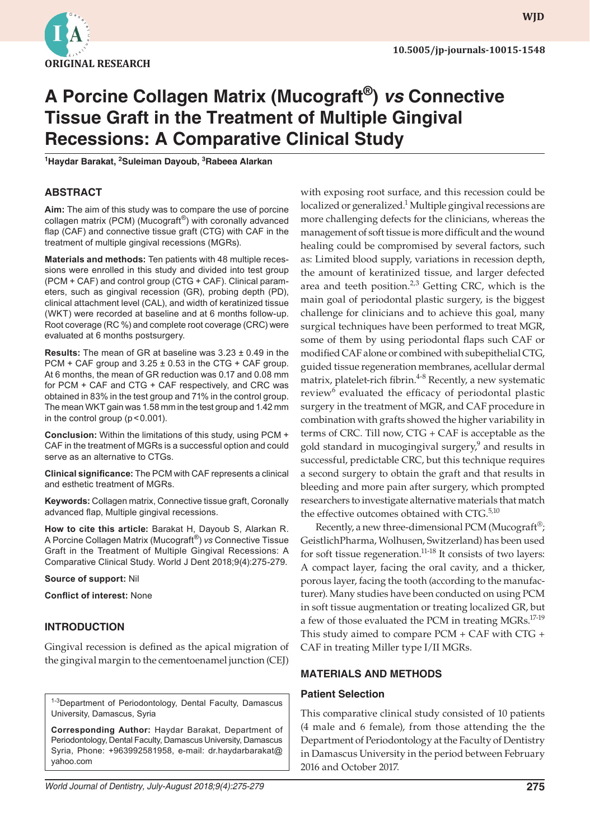

# **A Porcine Collagen Matrix (Mucograft®)** *vs* **Connective Tissue Graft in the Treatment of Multiple Gingival Recessions: A Comparative Clinical Study**

**1 Haydar Barakat, <sup>2</sup> Suleiman Dayoub, 3 Rabeea Alarkan**

# **ABSTRACT**

**Aim:** The aim of this study was to compare the use of porcine collagen matrix (PCM) (Mucograft®) with coronally advanced flap (CAF) and connective tissue graft (CTG) with CAF in the treatment of multiple gingival recessions (MGRs).

**Materials and methods:** Ten patients with 48 multiple recessions were enrolled in this study and divided into test group (PCM + CAF) and control group (CTG + CAF). Clinical parameters, such as gingival recession (GR), probing depth (PD), clinical attachment level (CAL), and width of keratinized tissue (WKT) were recorded at baseline and at 6 months follow-up. Root coverage (RC %) and complete root coverage (CRC) were evaluated at 6 months postsurgery.

**Results:** The mean of GR at baseline was 3.23 ± 0.49 in the PCM + CAF group and  $3.25 \pm 0.53$  in the CTG + CAF group. At 6 months, the mean of GR reduction was 0.17 and 0.08 mm for PCM + CAF and CTG + CAF respectively, and CRC was obtained in 83% in the test group and 71% in the control group. The mean WKT gain was 1.58 mm in the test group and 1.42 mm in the control group ( $p < 0.001$ ).

**Conclusion:** Within the limitations of this study, using PCM + CAF in the treatment of MGRs is a successful option and could serve as an alternative to CTGs.

**Clinical significance:** The PCM with CAF represents a clinical and esthetic treatment of MGRs.

**Keywords:** Collagen matrix, Connective tissue graft, Coronally advanced flap, Multiple gingival recessions.

**How to cite this article:** Barakat H, Dayoub S, Alarkan R. A Porcine Collagen Matrix (Mucograft®) *vs* Connective Tissue Graft in the Treatment of Multiple Gingival Recessions: A Comparative Clinical Study. World J Dent 2018;9(4):275-279.

**Source of support:** Nil

**Conflict of interest:** None

#### **INTRODUCTION**

Gingival recession is defined as the apical migration of the gingival margin to the cementoenamel junction (CEJ)

<sup>1-3</sup>Department of Periodontology, Dental Faculty, Damascus University, Damascus, Syria

**Corresponding Author:** Haydar Barakat, Department of Periodontology, Dental Faculty, Damascus University, Damascus Syria, Phone: +963992581958, e-mail: dr.haydarbarakat@ yahoo.com

with exposing root surface, and this recession could be localized or generalized.<sup>1</sup> Multiple gingival recessions are more challenging defects for the clinicians, whereas the management of soft tissue is more difficult and the wound healing could be compromised by several factors, such as: Limited blood supply, variations in recession depth, the amount of keratinized tissue, and larger defected area and teeth position. $2,3$  Getting CRC, which is the main goal of periodontal plastic surgery, is the biggest challenge for clinicians and to achieve this goal, many surgical techniques have been performed to treat MGR, some of them by using periodontal flaps such CAF or modified CAF alone or combined with subepithelial CTG, guided tissue regeneration membranes, acellular dermal matrix, platelet-rich fibrin. $4-8$  Recently, a new systematic review<sup>6</sup> evaluated the efficacy of periodontal plastic surgery in the treatment of MGR, and CAF procedure in combination with grafts showed the higher variability in terms of CRC. Till now, CTG + CAF is acceptable as the gold standard in mucogingival surgery,<sup>9</sup> and results in successful, predictable CRC, but this technique requires a second surgery to obtain the graft and that results in bleeding and more pain after surgery, which prompted researchers to investigate alternative materials that match the effective outcomes obtained with CTG.<sup>5,10</sup>

Recently, a new three-dimensional PCM (Mucograft<sup>®</sup>; GeistlichPharma, Wolhusen, Switzerland) has been used for soft tissue regeneration.<sup>11-18</sup> It consists of two layers: A compact layer, facing the oral cavity, and a thicker, porous layer, facing the tooth (according to the manufacturer). Many studies have been conducted on using PCM in soft tissue augmentation or treating localized GR, but a few of those evaluated the PCM in treating MGRs.<sup>17-19</sup> This study aimed to compare PCM + CAF with CTG + CAF in treating Miller type I/II MGRs.

# **MATERIALS AND METHODS**

#### **Patient Selection**

This comparative clinical study consisted of 10 patients (4 male and 6 female), from those attending the the Department of Periodontology at the Faculty of Dentistry in Damascus University in the period between February 2016 and October 2017.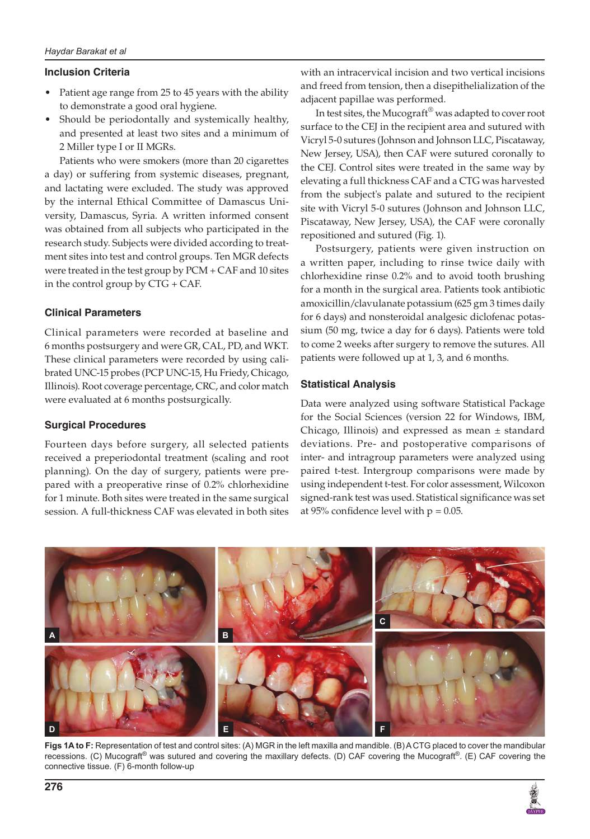## **Inclusion Criteria**

- Patient age range from 25 to 45 years with the ability to demonstrate a good oral hygiene.
- Should be periodontally and systemically healthy, and presented at least two sites and a minimum of 2 Miller type I or II MGRs.

Patients who were smokers (more than 20 cigarettes a day) or suffering from systemic diseases, pregnant, and lactating were excluded. The study was approved by the internal Ethical Committee of Damascus University, Damascus, Syria. A written informed consent was obtained from all subjects who participated in the research study. Subjects were divided according to treatment sites into test and control groups. Ten MGR defects were treated in the test group by PCM + CAF and 10 sites in the control group by CTG + CAF.

## **Clinical Parameters**

Clinical parameters were recorded at baseline and 6 months postsurgery and were GR, CAL, PD, and WKT. These clinical parameters were recorded by using calibrated UNC-15 probes (PCP UNC-15, Hu Friedy, Chicago, Illinois). Root coverage percentage, CRC, and color match were evaluated at 6 months postsurgically.

#### **Surgical Procedures**

Fourteen days before surgery, all selected patients received a preperiodontal treatment (scaling and root planning). On the day of surgery, patients were prepared with a preoperative rinse of 0.2% chlorhexidine for 1 minute. Both sites were treated in the same surgical session. A full-thickness CAF was elevated in both sites

with an intracervical incision and two vertical incisions and freed from tension, then a disepithelialization of the adjacent papillae was performed.

In test sites, the Mucograft® was adapted to cover root surface to the CEJ in the recipient area and sutured with Vicryl 5-0 sutures (Johnson and Johnson LLC, Piscataway, New Jersey, USA), then CAF were sutured coronally to the CEJ. Control sites were treated in the same way by elevating a full thickness CAF and a CTG was harvested from the subject's palate and sutured to the recipient site with Vicryl 5-0 sutures (Johnson and Johnson LLC, Piscataway, New Jersey, USA), the CAF were coronally repositioned and sutured (Fig. 1).

Postsurgery, patients were given instruction on a written paper, including to rinse twice daily with chlorhexidine rinse 0.2% and to avoid tooth brushing for a month in the surgical area. Patients took antibiotic amoxicillin/clavulanate potassium (625 gm 3 times daily for 6 days) and nonsteroidal analgesic diclofenac potassium (50 mg, twice a day for 6 days). Patients were told to come 2 weeks after surgery to remove the sutures. All patients were followed up at 1, 3, and 6 months.

## **Statistical Analysis**

Data were analyzed using software Statistical Package for the Social Sciences (version 22 for Windows, IBM, Chicago, Illinois) and expressed as mean  $\pm$  standard deviations. Pre- and postoperative comparisons of inter- and intragroup parameters were analyzed using paired t-test. Intergroup comparisons were made by using independent t-test. For color assessment, Wilcoxon signed-rank test was used. Statistical significance was set at 95% confidence level with  $p = 0.05$ .



**Figs 1A to F:** Representation of test and control sites: (A) MGR in the left maxilla and mandible. (B) A CTG placed to cover the mandibular recessions. (C) Mucograft<sup>®</sup> was sutured and covering the maxillary defects. (D) CAF covering the Mucograft<sup>®</sup>. (E) CAF covering the connective tissue. (F) 6-month follow-up

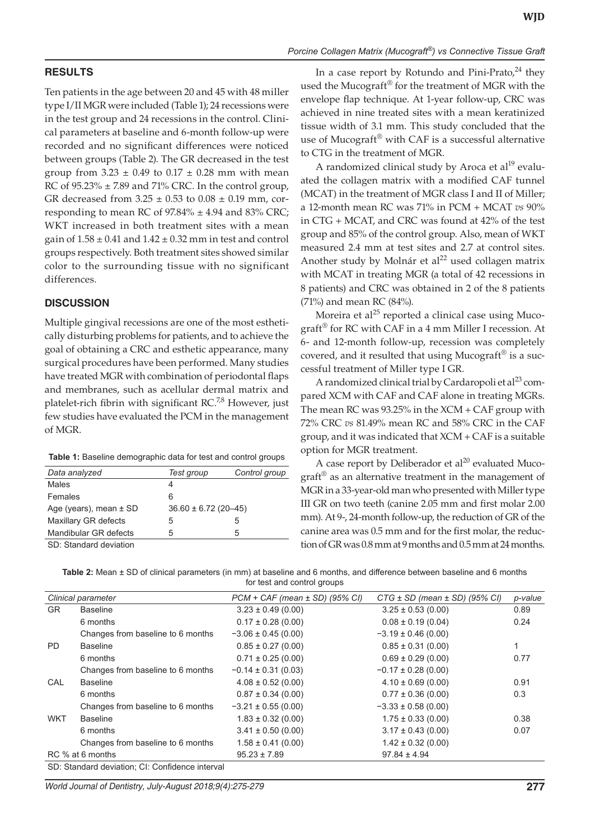# **RESULTS**

Ten patients in the age between 20 and 45 with 48 miller type I/II MGR were included (Table 1); 24 recessions were in the test group and 24 recessions in the control. Clinical parameters at baseline and 6-month follow-up were recorded and no significant differences were noticed between groups (Table 2). The GR decreased in the test group from  $3.23 \pm 0.49$  to  $0.17 \pm 0.28$  mm with mean RC of  $95.23\% \pm 7.89$  and  $71\%$  CRC. In the control group, GR decreased from  $3.25 \pm 0.53$  to  $0.08 \pm 0.19$  mm, corresponding to mean RC of  $97.84\% \pm 4.94$  and  $83\%$  CRC; WKT increased in both treatment sites with a mean gain of  $1.58 \pm 0.41$  and  $1.42 \pm 0.32$  mm in test and control groups respectively. Both treatment sites showed similar color to the surrounding tissue with no significant differences.

#### **DISCUSSION**

Multiple gingival recessions are one of the most esthetically disturbing problems for patients, and to achieve the goal of obtaining a CRC and esthetic appearance, many surgical procedures have been performed. Many studies have treated MGR with combination of periodontal flaps and membranes, such as acellular dermal matrix and platelet-rich fibrin with significant RC. $^{7,8}$  However, just few studies have evaluated the PCM in the management of MGR.

| <b>Table 1:</b> Baseline demographic data for test and control groups |  |  |  |  |
|-----------------------------------------------------------------------|--|--|--|--|
|-----------------------------------------------------------------------|--|--|--|--|

| Data analyzed              | Test group               | Control group |
|----------------------------|--------------------------|---------------|
| <b>Males</b>               | 4                        |               |
| Females                    | 6                        |               |
| Age (years), mean $\pm$ SD | $36.60 \pm 6.72$ (20-45) |               |
| Maxillary GR defects       | 5                        | 5             |
| Mandibular GR defects      | 5                        | 5             |
| SD: Standard deviation     |                          |               |

SD: Standard deviation

In a case report by Rotundo and Pini-Prato, $^{24}$  they used the Mucograft® for the treatment of MGR with the envelope flap technique. At 1-year follow-up, CRC was achieved in nine treated sites with a mean keratinized tissue width of 3.1 mm. This study concluded that the use of Mucograft<sup>®</sup> with CAF is a successful alternative to CTG in the treatment of MGR.

A randomized clinical study by Aroca et al<sup>19</sup> evaluated the collagen matrix with a modified CAF tunnel (MCAT) in the treatment of MGR class I and II of Miller; a 12-month mean RC was 71% in PCM + MCAT *vs* 90% in CTG + MCAT, and CRC was found at 42% of the test group and 85% of the control group. Also, mean of WKT measured 2.4 mm at test sites and 2.7 at control sites. Another study by Molnár et al<sup>22</sup> used collagen matrix with MCAT in treating MGR (a total of 42 recessions in 8 patients) and CRC was obtained in 2 of the 8 patients (71%) and mean RC (84%).

Moreira et al $^{25}$  reported a clinical case using Mucograft® for RC with CAF in a 4 mm Miller I recession. At 6- and 12-month follow-up, recession was completely covered, and it resulted that using Mucograft<sup>®</sup> is a successful treatment of Miller type I GR.

A randomized clinical trial by Cardaropoli et al<sup>23</sup> compared XCM with CAF and CAF alone in treating MGRs. The mean RC was  $93.25\%$  in the XCM + CAF group with 72% CRC *vs* 81.49% mean RC and 58% CRC in the CAF group, and it was indicated that XCM + CAF is a suitable option for MGR treatment.

A case report by Deliberador et  $al^{20}$  evaluated Mucograft® as an alternative treatment in the management of MGR in a 33-year-old man who presented with Miller type III GR on two teeth (canine 2.05 mm and first molar 2.00 mm). At 9-, 24-month follow-up, the reduction of GR of the canine area was 0.5 mm and for the first molar, the reduction of GR was 0.8 mm at 9 months and 0.5 mm at 24 months.

**Table 2:** Mean ± SD of clinical parameters (in mm) at baseline and 6 months, and difference between baseline and 6 months for test and control groups

|            | Clinical parameter                | $PCM + CAF$ (mean $\pm$ SD) (95% CI) | $CTG \pm SD$ (mean $\pm SD$ ) (95% CI) | p-value |  |  |
|------------|-----------------------------------|--------------------------------------|----------------------------------------|---------|--|--|
| <b>GR</b>  | <b>Baseline</b>                   | $3.23 \pm 0.49$ (0.00)               | $3.25 \pm 0.53$ (0.00)                 | 0.89    |  |  |
|            | 6 months                          | $0.17 \pm 0.28$ (0.00)               | $0.08 \pm 0.19$ (0.04)                 | 0.24    |  |  |
|            | Changes from baseline to 6 months | $-3.06 \pm 0.45$ (0.00)              | $-3.19 \pm 0.46$ (0.00)                |         |  |  |
| <b>PD</b>  | <b>Baseline</b>                   | $0.85 \pm 0.27$ (0.00)               | $0.85 \pm 0.31$ (0.00)                 | 1       |  |  |
|            | 6 months                          | $0.71 \pm 0.25$ (0.00)               | $0.69 \pm 0.29$ (0.00)                 | 0.77    |  |  |
|            | Changes from baseline to 6 months | $-0.14 \pm 0.31$ (0.03)              | $-0.17 \pm 0.28$ (0.00)                |         |  |  |
| CAL        | <b>Baseline</b>                   | $4.08 \pm 0.52$ (0.00)               | $4.10 \pm 0.69$ (0.00)                 | 0.91    |  |  |
|            | 6 months                          | $0.87 \pm 0.34$ (0.00)               | $0.77 \pm 0.36$ (0.00)                 | 0.3     |  |  |
|            | Changes from baseline to 6 months | $-3.21 \pm 0.55$ (0.00)              | $-3.33 \pm 0.58$ (0.00)                |         |  |  |
| <b>WKT</b> | <b>Baseline</b>                   | $1.83 \pm 0.32$ (0.00)               | $1.75 \pm 0.33$ (0.00)                 | 0.38    |  |  |
|            | 6 months                          | $3.41 \pm 0.50$ (0.00)               | $3.17 \pm 0.43$ (0.00)                 | 0.07    |  |  |
|            | Changes from baseline to 6 months | $1.58 \pm 0.41$ (0.00)               | $1.42 \pm 0.32$ (0.00)                 |         |  |  |
|            | RC % at 6 months                  | $95.23 \pm 7.89$                     | $97.84 \pm 4.94$                       |         |  |  |
|            |                                   |                                      |                                        |         |  |  |

SD: Standard deviation; CI: Confidence interval

*World Journal of Dentistry, July-August 2018;9(4):275-279* **277**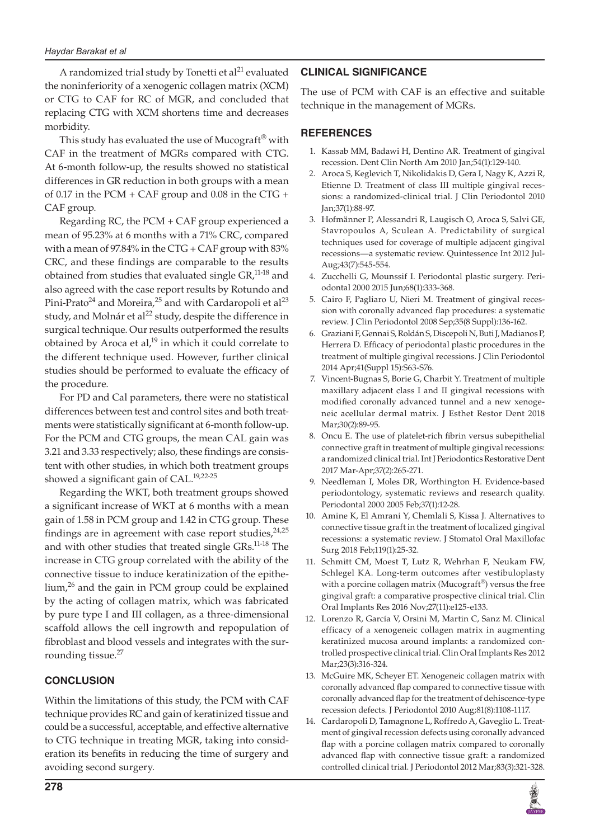A randomized trial study by Tonetti et  $al<sup>21</sup>$  evaluated the noninferiority of a xenogenic collagen matrix (XCM) or CTG to CAF for RC of MGR, and concluded that replacing CTG with XCM shortens time and decreases morbidity.

This study has evaluated the use of Mucograft<sup>®</sup> with CAF in the treatment of MGRs compared with CTG. At 6-month follow-up, the results showed no statistical differences in GR reduction in both groups with a mean of 0.17 in the PCM  $+$  CAF group and 0.08 in the CTG  $+$ CAF group.

Regarding RC, the PCM + CAF group experienced a mean of 95.23% at 6 months with a 71% CRC, compared with a mean of 97.84% in the CTG + CAF group with  $83\%$ CRC, and these findings are comparable to the results obtained from studies that evaluated single GR,<sup>11-18</sup> and also agreed with the case report results by Rotundo and Pini-Prato<sup>24</sup> and Moreira,<sup>25</sup> and with Cardaropoli et al<sup>23</sup> study, and Molnár et al<sup>22</sup> study, despite the difference in surgical technique. Our results outperformed the results obtained by Aroca et al, $19$  in which it could correlate to the different technique used. However, further clinical studies should be performed to evaluate the efficacy of the procedure.

For PD and Cal parameters, there were no statistical differences between test and control sites and both treatments were statistically significant at 6-month follow-up. For the PCM and CTG groups, the mean CAL gain was 3.21 and 3.33 respectively; also, these findings are consistent with other studies, in which both treatment groups showed a significant gain of CAL.<sup>19,22-25</sup>

Regarding the WKT, both treatment groups showed a significant increase of WKT at 6 months with a mean gain of 1.58 in PCM group and 1.42 in CTG group. These findings are in agreement with case report studies,  $24.25$ and with other studies that treated single GRs.<sup>11-18</sup> The increase in CTG group correlated with the ability of the connective tissue to induce keratinization of the epithelium,<sup>26</sup> and the gain in PCM group could be explained by the acting of collagen matrix, which was fabricated by pure type I and III collagen, as a three-dimensional scaffold allows the cell ingrowth and repopulation of fibroblast and blood vessels and integrates with the surrounding tissue.<sup>27</sup>

# **CONCLUSION**

Within the limitations of this study, the PCM with CAF technique provides RC and gain of keratinized tissue and could be a successful, acceptable, and effective alternative to CTG technique in treating MGR, taking into consideration its benefits in reducing the time of surgery and avoiding second surgery.

# **CLINICAL SIGNIFICANCE**

The use of PCM with CAF is an effective and suitable technique in the management of MGRs.

# **REFERENCES**

- 1. Kassab MM, Badawi H, Dentino AR. Treatment of gingival recession. Dent Clin North Am 2010 Jan;54(1):129-140.
- 2. Aroca S, Keglevich T, Nikolidakis D, Gera I, Nagy K, Azzi R, Etienne D. Treatment of class III multiple gingival recessions: a randomized-clinical trial. J Clin Periodontol 2010 Jan;37(1):88-97.
- 3. Hofmänner P, Alessandri R, Laugisch O, Aroca S, Salvi GE, Stavropoulos A, Sculean A. Predictability of surgical techniques used for coverage of multiple adjacent gingival recessions—a systematic review. Quintessence Int 2012 Jul-Aug;43(7):545-554.
- 4. Zucchelli G, Mounssif I. Periodontal plastic surgery. Periodontal 2000 2015 Jun;68(1):333-368.
- 5. Cairo F, Pagliaro U, Nieri M. Treatment of gingival recession with coronally advanced flap procedures: a systematic review. J Clin Periodontol 2008 Sep;35(8 Suppl):136-162.
- 6. Graziani F, Gennai S, Roldán S, Discepoli N, Buti J, Madianos P, Herrera D. Efficacy of periodontal plastic procedures in the treatment of multiple gingival recessions. J Clin Periodontol 2014 Apr;41(Suppl 15):S63-S76.
- 7. Vincent-Bugnas S, Borie G, Charbit Y. Treatment of multiple maxillary adjacent class I and II gingival recessions with modified coronally advanced tunnel and a new xenogeneic acellular dermal matrix. J Esthet Restor Dent 2018 Mar;30(2):89-95.
- 8. Oncu E. The use of platelet-rich fibrin versus subepithelial connective graft in treatment of multiple gingival recessions: a randomized clinical trial. Int J Periodontics Restorative Dent 2017 Mar-Apr;37(2):265-271.
- 9. Needleman I, Moles DR, Worthington H. Evidence-based periodontology, systematic reviews and research quality. Periodontal 2000 2005 Feb;37(1):12-28.
- 10. Amine K, El Amrani Y, Chemlali S, Kissa J. Alternatives to connective tissue graft in the treatment of localized gingival recessions: a systematic review. J Stomatol Oral Maxillofac Surg 2018 Feb;119(1):25-32.
- Schmitt CM, Moest T, Lutz R, Wehrhan F, Neukam FW, Schlegel KA. Long-term outcomes after vestibuloplasty with a porcine collagen matrix (Mucograft<sup>®</sup>) versus the free gingival graft: a comparative prospective clinical trial. Clin Oral Implants Res 2016 Nov;27(11):e125-e133.
- 12. Lorenzo R, García V, Orsini M, Martin C, Sanz M. Clinical efficacy of a xenogeneic collagen matrix in augmenting keratinized mucosa around implants: a randomized controlled prospective clinical trial. Clin Oral Implants Res 2012 Mar;23(3):316-324.
- 13. McGuire MK, Scheyer ET. Xenogeneic collagen matrix with coronally advanced flap compared to connective tissue with coronally advanced flap for the treatment of dehiscence-type recession defects. J Periodontol 2010 Aug;81(8):1108-1117.
- 14. Cardaropoli D, Tamagnone L, Roffredo A, Gaveglio L. Treatment of gingival recession defects using coronally advanced flap with a porcine collagen matrix compared to coronally advanced flap with connective tissue graft: a randomized controlled clinical trial. J Periodontol 2012 Mar;83(3):321-328.